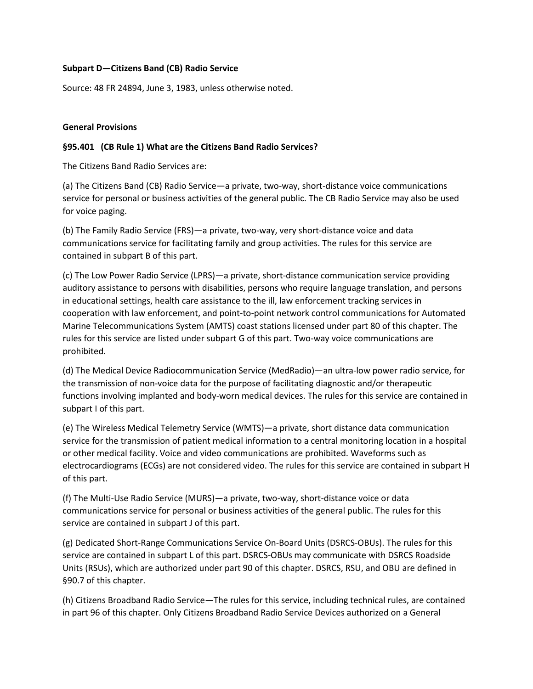#### **Subpart D—Citizens Band (CB) Radio Service**

Source: 48 FR 24894, June 3, 1983, unless otherwise noted.

#### **General Provisions**

#### **§95.401 (CB Rule 1) What are the Citizens Band Radio Services?**

The Citizens Band Radio Services are:

(a) The Citizens Band (CB) Radio Service—a private, two-way, short-distance voice communications service for personal or business activities of the general public. The CB Radio Service may also be used for voice paging.

(b) The Family Radio Service (FRS)—a private, two-way, very short-distance voice and data communications service for facilitating family and group activities. The rules for this service are contained in subpart B of this part.

(c) The Low Power Radio Service (LPRS)—a private, short-distance communication service providing auditory assistance to persons with disabilities, persons who require language translation, and persons in educational settings, health care assistance to the ill, law enforcement tracking services in cooperation with law enforcement, and point-to-point network control communications for Automated Marine Telecommunications System (AMTS) coast stations licensed under part 80 of this chapter. The rules for this service are listed under subpart G of this part. Two-way voice communications are prohibited.

(d) The Medical Device Radiocommunication Service (MedRadio)—an ultra-low power radio service, for the transmission of non-voice data for the purpose of facilitating diagnostic and/or therapeutic functions involving implanted and body-worn medical devices. The rules for this service are contained in subpart I of this part.

(e) The Wireless Medical Telemetry Service (WMTS)—a private, short distance data communication service for the transmission of patient medical information to a central monitoring location in a hospital or other medical facility. Voice and video communications are prohibited. Waveforms such as electrocardiograms (ECGs) are not considered video. The rules for this service are contained in subpart H of this part.

(f) The Multi-Use Radio Service (MURS)—a private, two-way, short-distance voice or data communications service for personal or business activities of the general public. The rules for this service are contained in subpart J of this part.

(g) Dedicated Short-Range Communications Service On-Board Units (DSRCS-OBUs). The rules for this service are contained in subpart L of this part. DSRCS-OBUs may communicate with DSRCS Roadside Units (RSUs), which are authorized under part 90 of this chapter. DSRCS, RSU, and OBU are defined in §90.7 of this chapter.

(h) Citizens Broadband Radio Service—The rules for this service, including technical rules, are contained in part 96 of this chapter. Only Citizens Broadband Radio Service Devices authorized on a General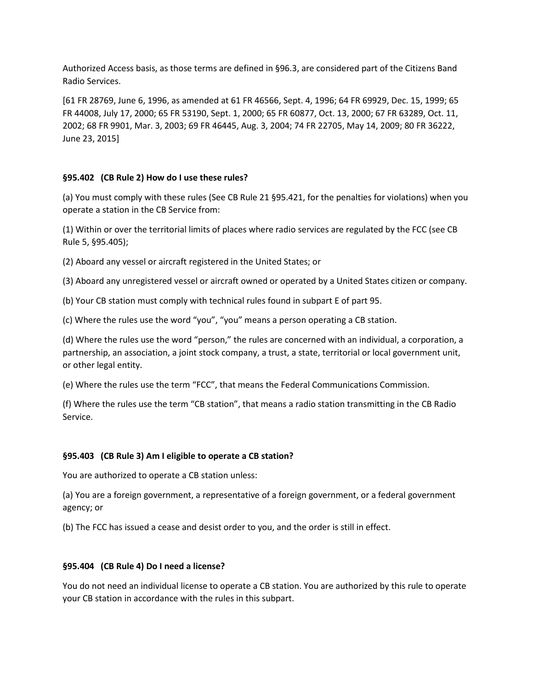Authorized Access basis, as those terms are defined in §96.3, are considered part of the Citizens Band Radio Services.

[61 FR 28769, June 6, 1996, as amended at 61 FR 46566, Sept. 4, 1996; 64 FR 69929, Dec. 15, 1999; 65 FR 44008, July 17, 2000; 65 FR 53190, Sept. 1, 2000; 65 FR 60877, Oct. 13, 2000; 67 FR 63289, Oct. 11, 2002; 68 FR 9901, Mar. 3, 2003; 69 FR 46445, Aug. 3, 2004; 74 FR 22705, May 14, 2009; 80 FR 36222, June 23, 2015]

### **§95.402 (CB Rule 2) How do I use these rules?**

(a) You must comply with these rules (See CB Rule 21 §95.421, for the penalties for violations) when you operate a station in the CB Service from:

(1) Within or over the territorial limits of places where radio services are regulated by the FCC (see CB Rule 5, §95.405);

(2) Aboard any vessel or aircraft registered in the United States; or

(3) Aboard any unregistered vessel or aircraft owned or operated by a United States citizen or company.

(b) Your CB station must comply with technical rules found in subpart E of part 95.

(c) Where the rules use the word "you", "you" means a person operating a CB station.

(d) Where the rules use the word "person," the rules are concerned with an individual, a corporation, a partnership, an association, a joint stock company, a trust, a state, territorial or local government unit, or other legal entity.

(e) Where the rules use the term "FCC", that means the Federal Communications Commission.

(f) Where the rules use the term "CB station", that means a radio station transmitting in the CB Radio Service.

#### **§95.403 (CB Rule 3) Am I eligible to operate a CB station?**

You are authorized to operate a CB station unless:

(a) You are a foreign government, a representative of a foreign government, or a federal government agency; or

(b) The FCC has issued a cease and desist order to you, and the order is still in effect.

#### **§95.404 (CB Rule 4) Do I need a license?**

You do not need an individual license to operate a CB station. You are authorized by this rule to operate your CB station in accordance with the rules in this subpart.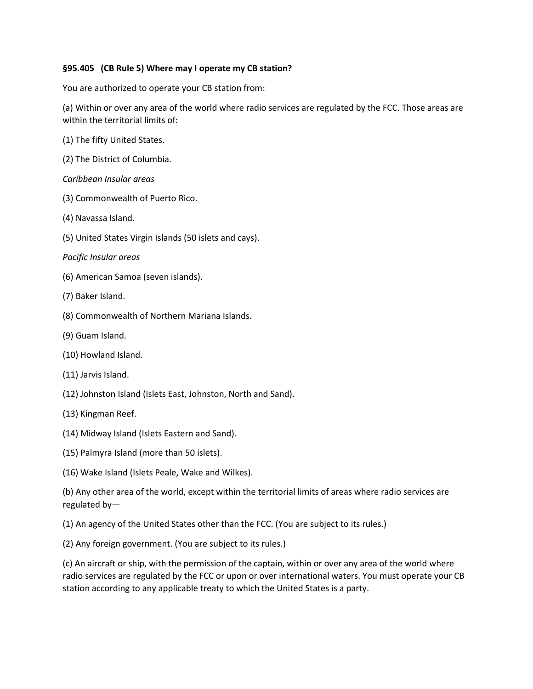### **§95.405 (CB Rule 5) Where may I operate my CB station?**

You are authorized to operate your CB station from:

(a) Within or over any area of the world where radio services are regulated by the FCC. Those areas are within the territorial limits of:

- (1) The fifty United States.
- (2) The District of Columbia.
- *Caribbean Insular areas*
- (3) Commonwealth of Puerto Rico.
- (4) Navassa Island.
- (5) United States Virgin Islands (50 islets and cays).
- *Pacific Insular areas*
- (6) American Samoa (seven islands).
- (7) Baker Island.
- (8) Commonwealth of Northern Mariana Islands.
- (9) Guam Island.
- (10) Howland Island.
- (11) Jarvis Island.
- (12) Johnston Island (Islets East, Johnston, North and Sand).
- (13) Kingman Reef.
- (14) Midway Island (Islets Eastern and Sand).
- (15) Palmyra Island (more than 50 islets).
- (16) Wake Island (Islets Peale, Wake and Wilkes).

(b) Any other area of the world, except within the territorial limits of areas where radio services are regulated by—

(1) An agency of the United States other than the FCC. (You are subject to its rules.)

(2) Any foreign government. (You are subject to its rules.)

(c) An aircraft or ship, with the permission of the captain, within or over any area of the world where radio services are regulated by the FCC or upon or over international waters. You must operate your CB station according to any applicable treaty to which the United States is a party.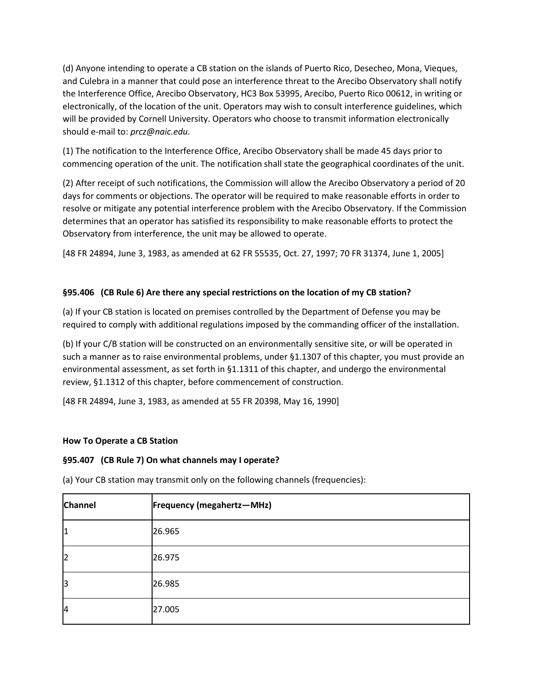(d) Anyone intending to operate a CB station on the islands of Puerto Rico, Desecheo, Mona, Vieques, and Culebra in a manner that could pose an interference threat to the Arecibo Observatory shall notify the Interference Office, Arecibo Observatory, HC3 Box 53995, Arecibo, Puerto Rico 00612, in writing or electronically, of the location of the unit. Operators may wish to consult interference guidelines, which will be provided by Cornell University. Operators who choose to transmit information electronically should e-mail to: *prcz@naic.edu.*

(1) The notification to the Interference Office, Arecibo Observatory shall be made 45 days prior to commencing operation of the unit. The notification shall state the geographical coordinates of the unit.

(2) After receipt of such notifications, the Commission will allow the Arecibo Observatory a period of 20 days for comments or objections. The operator will be required to make reasonable efforts in order to resolve or mitigate any potential interference problem with the Arecibo Observatory. If the Commission determines that an operator has satisfied its responsibility to make reasonable efforts to protect the Observatory from interference, the unit may be allowed to operate.

[48 FR 24894, June 3, 1983, as amended at 62 FR 55535, Oct. 27, 1997; 70 FR 31374, June 1, 2005]

# **§95.406 (CB Rule 6) Are there any special restrictions on the location of my CB station?**

(a) If your CB station is located on premises controlled by the Department of Defense you may be required to comply with additional regulations imposed by the commanding officer of the installation.

(b) If your C/B station will be constructed on an environmentally sensitive site, or will be operated in such a manner as to raise environmental problems, under §1.1307 of this chapter, you must provide an environmental assessment, as set forth in §1.1311 of this chapter, and undergo the environmental review, §1.1312 of this chapter, before commencement of construction.

[48 FR 24894, June 3, 1983, as amended at 55 FR 20398, May 16, 1990]

# **How To Operate a CB Station**

### **§95.407 (CB Rule 7) On what channels may I operate?**

**Channel Frequency (megahertz—MHz)** 1 26.965 2 26.975 3 26.985 4 27.005

(a) Your CB station may transmit only on the following channels (frequencies):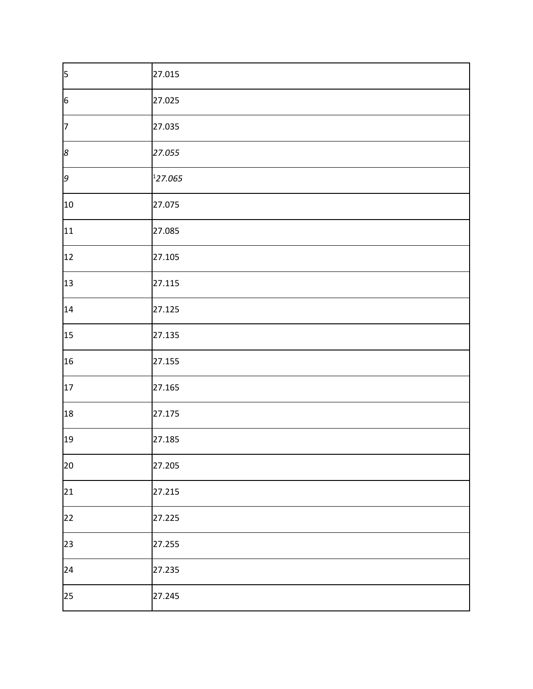| $\vert$ 5       | 27.015  |
|-----------------|---------|
| $6\overline{6}$ | 27.025  |
| $\overline{7}$  | 27.035  |
| 8               | 27.055  |
| 9               | 127.065 |
| 10              | 27.075  |
| 11              | 27.085  |
| 12              | 27.105  |
| 13              | 27.115  |
| 14              | 27.125  |
| 15              | 27.135  |
| 16              | 27.155  |
| 17              | 27.165  |
| 18              | 27.175  |
| 19              | 27.185  |
| 20              | 27.205  |
| 21              | 27.215  |
| 22              | 27.225  |
| 23              | 27.255  |
| 24              | 27.235  |
| 25              | 27.245  |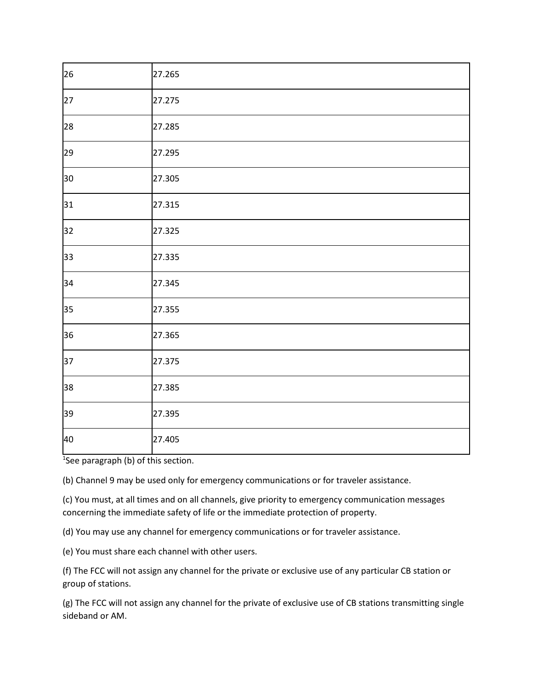| 26 | 27.265 |
|----|--------|
| 27 | 27.275 |
| 28 | 27.285 |
| 29 | 27.295 |
| 30 | 27.305 |
| 31 | 27.315 |
| 32 | 27.325 |
| 33 | 27.335 |
| 34 | 27.345 |
| 35 | 27.355 |
| 36 | 27.365 |
| 37 | 27.375 |
| 38 | 27.385 |
| 39 | 27.395 |
| 40 | 27.405 |

<sup>1</sup>See paragraph (b) of this section.

(b) Channel 9 may be used only for emergency communications or for traveler assistance.

(c) You must, at all times and on all channels, give priority to emergency communication messages concerning the immediate safety of life or the immediate protection of property.

(d) You may use any channel for emergency communications or for traveler assistance.

(e) You must share each channel with other users.

(f) The FCC will not assign any channel for the private or exclusive use of any particular CB station or group of stations.

(g) The FCC will not assign any channel for the private of exclusive use of CB stations transmitting single sideband or AM.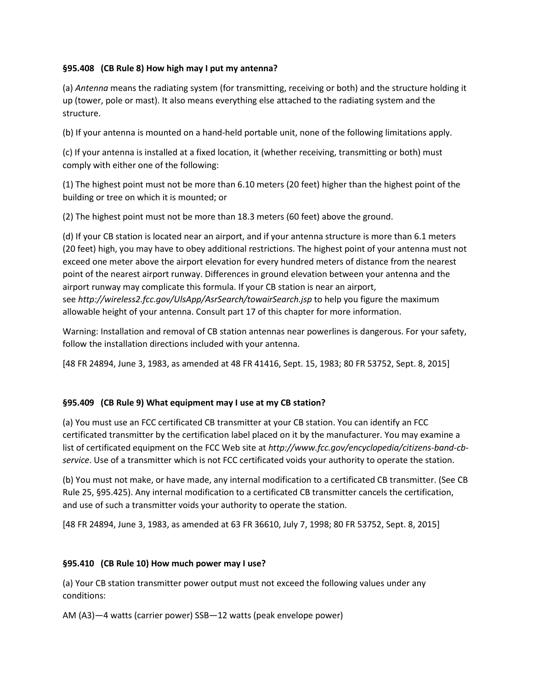## **§95.408 (CB Rule 8) How high may I put my antenna?**

(a) *Antenna* means the radiating system (for transmitting, receiving or both) and the structure holding it up (tower, pole or mast). It also means everything else attached to the radiating system and the structure.

(b) If your antenna is mounted on a hand-held portable unit, none of the following limitations apply.

(c) If your antenna is installed at a fixed location, it (whether receiving, transmitting or both) must comply with either one of the following:

(1) The highest point must not be more than 6.10 meters (20 feet) higher than the highest point of the building or tree on which it is mounted; or

(2) The highest point must not be more than 18.3 meters (60 feet) above the ground.

(d) If your CB station is located near an airport, and if your antenna structure is more than 6.1 meters (20 feet) high, you may have to obey additional restrictions. The highest point of your antenna must not exceed one meter above the airport elevation for every hundred meters of distance from the nearest point of the nearest airport runway. Differences in ground elevation between your antenna and the airport runway may complicate this formula. If your CB station is near an airport, see *http://wireless2.fcc.gov/UlsApp/AsrSearch/towairSearch.jsp* to help you figure the maximum allowable height of your antenna. Consult part 17 of this chapter for more information.

Warning: Installation and removal of CB station antennas near powerlines is dangerous. For your safety, follow the installation directions included with your antenna.

[48 FR 24894, June 3, 1983, as amended at 48 FR 41416, Sept. 15, 1983; 80 FR 53752, Sept. 8, 2015]

### **§95.409 (CB Rule 9) What equipment may I use at my CB station?**

(a) You must use an FCC certificated CB transmitter at your CB station. You can identify an FCC certificated transmitter by the certification label placed on it by the manufacturer. You may examine a list of certificated equipment on the FCC Web site at *http://www.fcc.gov/encyclopedia/citizens-band-cbservice*. Use of a transmitter which is not FCC certificated voids your authority to operate the station.

(b) You must not make, or have made, any internal modification to a certificated CB transmitter. (See CB Rule 25, §95.425). Any internal modification to a certificated CB transmitter cancels the certification, and use of such a transmitter voids your authority to operate the station.

[48 FR 24894, June 3, 1983, as amended at 63 FR 36610, July 7, 1998; 80 FR 53752, Sept. 8, 2015]

### **§95.410 (CB Rule 10) How much power may I use?**

(a) Your CB station transmitter power output must not exceed the following values under any conditions:

AM (A3)—4 watts (carrier power) SSB—12 watts (peak envelope power)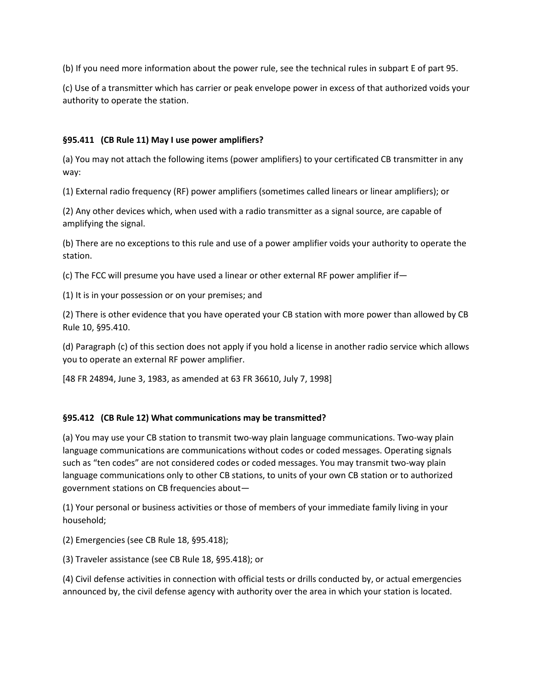(b) If you need more information about the power rule, see the technical rules in subpart E of part 95.

(c) Use of a transmitter which has carrier or peak envelope power in excess of that authorized voids your authority to operate the station.

## **§95.411 (CB Rule 11) May I use power amplifiers?**

(a) You may not attach the following items (power amplifiers) to your certificated CB transmitter in any way:

(1) External radio frequency (RF) power amplifiers (sometimes called linears or linear amplifiers); or

(2) Any other devices which, when used with a radio transmitter as a signal source, are capable of amplifying the signal.

(b) There are no exceptions to this rule and use of a power amplifier voids your authority to operate the station.

(c) The FCC will presume you have used a linear or other external RF power amplifier if—

(1) It is in your possession or on your premises; and

(2) There is other evidence that you have operated your CB station with more power than allowed by CB Rule 10, §95.410.

(d) Paragraph (c) of this section does not apply if you hold a license in another radio service which allows you to operate an external RF power amplifier.

[48 FR 24894, June 3, 1983, as amended at 63 FR 36610, July 7, 1998]

# **§95.412 (CB Rule 12) What communications may be transmitted?**

(a) You may use your CB station to transmit two-way plain language communications. Two-way plain language communications are communications without codes or coded messages. Operating signals such as "ten codes" are not considered codes or coded messages. You may transmit two-way plain language communications only to other CB stations, to units of your own CB station or to authorized government stations on CB frequencies about—

(1) Your personal or business activities or those of members of your immediate family living in your household;

(2) Emergencies (see CB Rule 18, §95.418);

(3) Traveler assistance (see CB Rule 18, §95.418); or

(4) Civil defense activities in connection with official tests or drills conducted by, or actual emergencies announced by, the civil defense agency with authority over the area in which your station is located.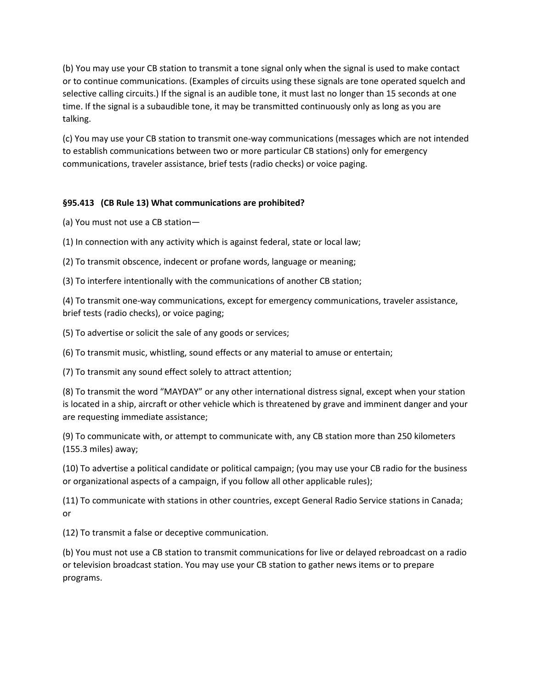(b) You may use your CB station to transmit a tone signal only when the signal is used to make contact or to continue communications. (Examples of circuits using these signals are tone operated squelch and selective calling circuits.) If the signal is an audible tone, it must last no longer than 15 seconds at one time. If the signal is a subaudible tone, it may be transmitted continuously only as long as you are talking.

(c) You may use your CB station to transmit one-way communications (messages which are not intended to establish communications between two or more particular CB stations) only for emergency communications, traveler assistance, brief tests (radio checks) or voice paging.

# **§95.413 (CB Rule 13) What communications are prohibited?**

(a) You must not use a CB station—

(1) In connection with any activity which is against federal, state or local law;

(2) To transmit obscence, indecent or profane words, language or meaning;

(3) To interfere intentionally with the communications of another CB station;

(4) To transmit one-way communications, except for emergency communications, traveler assistance, brief tests (radio checks), or voice paging;

(5) To advertise or solicit the sale of any goods or services;

(6) To transmit music, whistling, sound effects or any material to amuse or entertain;

(7) To transmit any sound effect solely to attract attention;

(8) To transmit the word "MAYDAY" or any other international distress signal, except when your station is located in a ship, aircraft or other vehicle which is threatened by grave and imminent danger and your are requesting immediate assistance;

(9) To communicate with, or attempt to communicate with, any CB station more than 250 kilometers (155.3 miles) away;

(10) To advertise a political candidate or political campaign; (you may use your CB radio for the business or organizational aspects of a campaign, if you follow all other applicable rules);

(11) To communicate with stations in other countries, except General Radio Service stations in Canada; or

(12) To transmit a false or deceptive communication.

(b) You must not use a CB station to transmit communications for live or delayed rebroadcast on a radio or television broadcast station. You may use your CB station to gather news items or to prepare programs.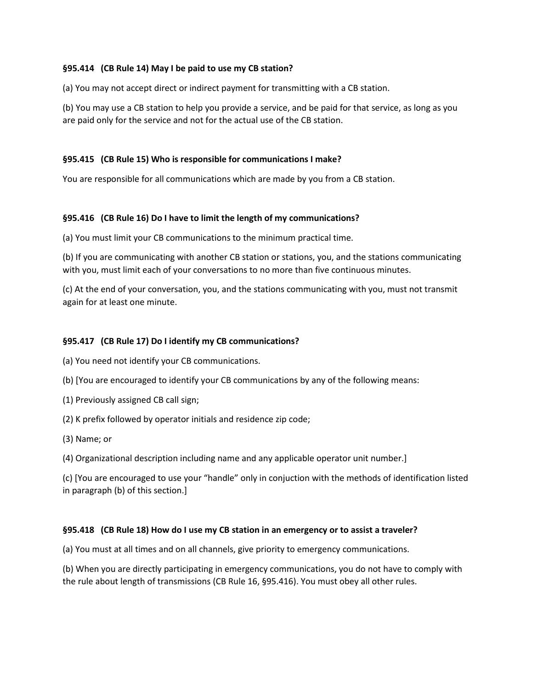### **§95.414 (CB Rule 14) May I be paid to use my CB station?**

(a) You may not accept direct or indirect payment for transmitting with a CB station.

(b) You may use a CB station to help you provide a service, and be paid for that service, as long as you are paid only for the service and not for the actual use of the CB station.

### **§95.415 (CB Rule 15) Who is responsible for communications I make?**

You are responsible for all communications which are made by you from a CB station.

#### **§95.416 (CB Rule 16) Do I have to limit the length of my communications?**

(a) You must limit your CB communications to the minimum practical time.

(b) If you are communicating with another CB station or stations, you, and the stations communicating with you, must limit each of your conversations to no more than five continuous minutes.

(c) At the end of your conversation, you, and the stations communicating with you, must not transmit again for at least one minute.

#### **§95.417 (CB Rule 17) Do I identify my CB communications?**

- (a) You need not identify your CB communications.
- (b) [You are encouraged to identify your CB communications by any of the following means:
- (1) Previously assigned CB call sign;
- (2) K prefix followed by operator initials and residence zip code;
- (3) Name; or

(4) Organizational description including name and any applicable operator unit number.]

(c) [You are encouraged to use your "handle" only in conjuction with the methods of identification listed in paragraph (b) of this section.]

#### **§95.418 (CB Rule 18) How do I use my CB station in an emergency or to assist a traveler?**

(a) You must at all times and on all channels, give priority to emergency communications.

(b) When you are directly participating in emergency communications, you do not have to comply with the rule about length of transmissions (CB Rule 16, §95.416). You must obey all other rules.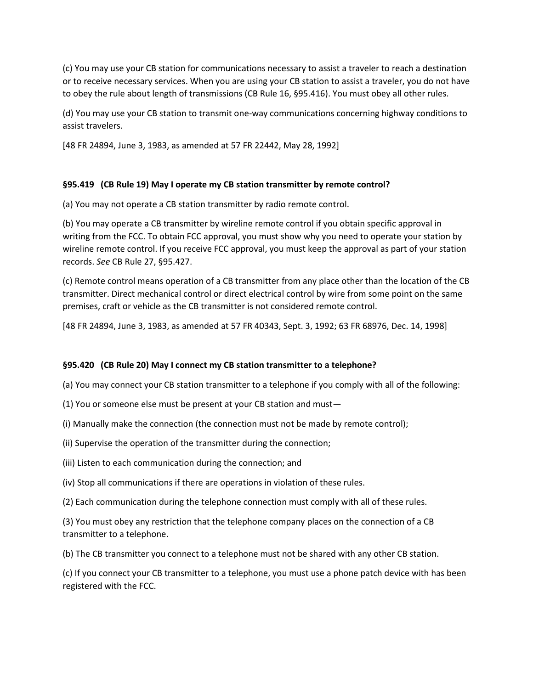(c) You may use your CB station for communications necessary to assist a traveler to reach a destination or to receive necessary services. When you are using your CB station to assist a traveler, you do not have to obey the rule about length of transmissions (CB Rule 16, §95.416). You must obey all other rules.

(d) You may use your CB station to transmit one-way communications concerning highway conditions to assist travelers.

[48 FR 24894, June 3, 1983, as amended at 57 FR 22442, May 28, 1992]

## **§95.419 (CB Rule 19) May I operate my CB station transmitter by remote control?**

(a) You may not operate a CB station transmitter by radio remote control.

(b) You may operate a CB transmitter by wireline remote control if you obtain specific approval in writing from the FCC. To obtain FCC approval, you must show why you need to operate your station by wireline remote control. If you receive FCC approval, you must keep the approval as part of your station records. *See* CB Rule 27, §95.427.

(c) Remote control means operation of a CB transmitter from any place other than the location of the CB transmitter. Direct mechanical control or direct electrical control by wire from some point on the same premises, craft or vehicle as the CB transmitter is not considered remote control.

[48 FR 24894, June 3, 1983, as amended at 57 FR 40343, Sept. 3, 1992; 63 FR 68976, Dec. 14, 1998]

### **§95.420 (CB Rule 20) May I connect my CB station transmitter to a telephone?**

(a) You may connect your CB station transmitter to a telephone if you comply with all of the following:

- (1) You or someone else must be present at your CB station and must—
- (i) Manually make the connection (the connection must not be made by remote control);
- (ii) Supervise the operation of the transmitter during the connection;
- (iii) Listen to each communication during the connection; and
- (iv) Stop all communications if there are operations in violation of these rules.
- (2) Each communication during the telephone connection must comply with all of these rules.

(3) You must obey any restriction that the telephone company places on the connection of a CB transmitter to a telephone.

(b) The CB transmitter you connect to a telephone must not be shared with any other CB station.

(c) If you connect your CB transmitter to a telephone, you must use a phone patch device with has been registered with the FCC.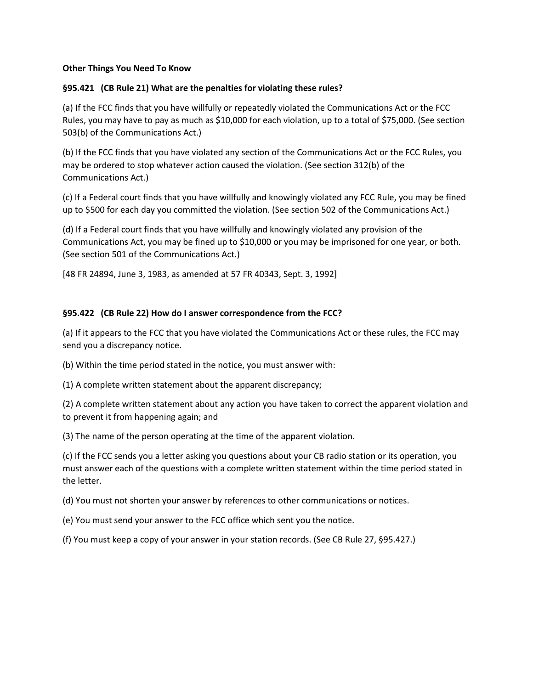#### **Other Things You Need To Know**

### **§95.421 (CB Rule 21) What are the penalties for violating these rules?**

(a) If the FCC finds that you have willfully or repeatedly violated the Communications Act or the FCC Rules, you may have to pay as much as \$10,000 for each violation, up to a total of \$75,000. (See section 503(b) of the Communications Act.)

(b) If the FCC finds that you have violated any section of the Communications Act or the FCC Rules, you may be ordered to stop whatever action caused the violation. (See section 312(b) of the Communications Act.)

(c) If a Federal court finds that you have willfully and knowingly violated any FCC Rule, you may be fined up to \$500 for each day you committed the violation. (See section 502 of the Communications Act.)

(d) If a Federal court finds that you have willfully and knowingly violated any provision of the Communications Act, you may be fined up to \$10,000 or you may be imprisoned for one year, or both. (See section 501 of the Communications Act.)

[48 FR 24894, June 3, 1983, as amended at 57 FR 40343, Sept. 3, 1992]

### **§95.422 (CB Rule 22) How do I answer correspondence from the FCC?**

(a) If it appears to the FCC that you have violated the Communications Act or these rules, the FCC may send you a discrepancy notice.

(b) Within the time period stated in the notice, you must answer with:

(1) A complete written statement about the apparent discrepancy;

(2) A complete written statement about any action you have taken to correct the apparent violation and to prevent it from happening again; and

(3) The name of the person operating at the time of the apparent violation.

(c) If the FCC sends you a letter asking you questions about your CB radio station or its operation, you must answer each of the questions with a complete written statement within the time period stated in the letter.

(d) You must not shorten your answer by references to other communications or notices.

(e) You must send your answer to the FCC office which sent you the notice.

(f) You must keep a copy of your answer in your station records. (See CB Rule 27, §95.427.)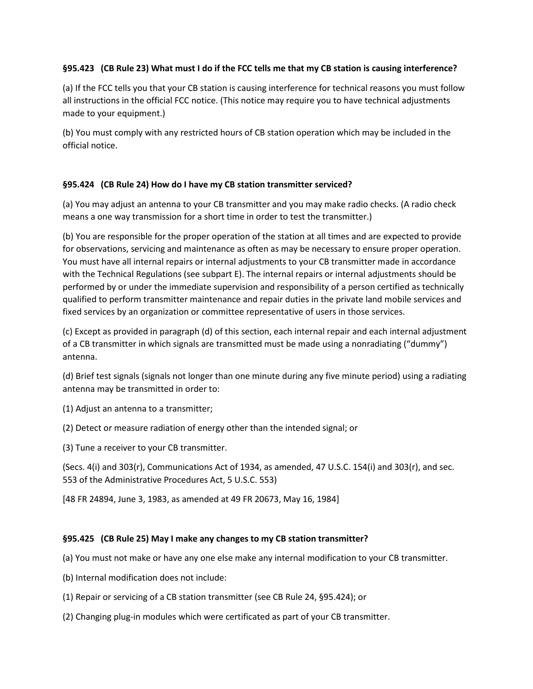## **§95.423 (CB Rule 23) What must I do if the FCC tells me that my CB station is causing interference?**

(a) If the FCC tells you that your CB station is causing interference for technical reasons you must follow all instructions in the official FCC notice. (This notice may require you to have technical adjustments made to your equipment.)

(b) You must comply with any restricted hours of CB station operation which may be included in the official notice.

## **§95.424 (CB Rule 24) How do I have my CB station transmitter serviced?**

(a) You may adjust an antenna to your CB transmitter and you may make radio checks. (A radio check means a one way transmission for a short time in order to test the transmitter.)

(b) You are responsible for the proper operation of the station at all times and are expected to provide for observations, servicing and maintenance as often as may be necessary to ensure proper operation. You must have all internal repairs or internal adjustments to your CB transmitter made in accordance with the Technical Regulations (see subpart E). The internal repairs or internal adjustments should be performed by or under the immediate supervision and responsibility of a person certified as technically qualified to perform transmitter maintenance and repair duties in the private land mobile services and fixed services by an organization or committee representative of users in those services.

(c) Except as provided in paragraph (d) of this section, each internal repair and each internal adjustment of a CB transmitter in which signals are transmitted must be made using a nonradiating ("dummy") antenna.

(d) Brief test signals (signals not longer than one minute during any five minute period) using a radiating antenna may be transmitted in order to:

(1) Adjust an antenna to a transmitter;

(2) Detect or measure radiation of energy other than the intended signal; or

(3) Tune a receiver to your CB transmitter.

(Secs. 4(i) and 303(r), Communications Act of 1934, as amended, 47 U.S.C. 154(i) and 303(r), and sec. 553 of the Administrative Procedures Act, 5 U.S.C. 553)

[48 FR 24894, June 3, 1983, as amended at 49 FR 20673, May 16, 1984]

# **§95.425 (CB Rule 25) May I make any changes to my CB station transmitter?**

(a) You must not make or have any one else make any internal modification to your CB transmitter.

- (b) Internal modification does not include:
- (1) Repair or servicing of a CB station transmitter (see CB Rule 24, §95.424); or
- (2) Changing plug-in modules which were certificated as part of your CB transmitter.